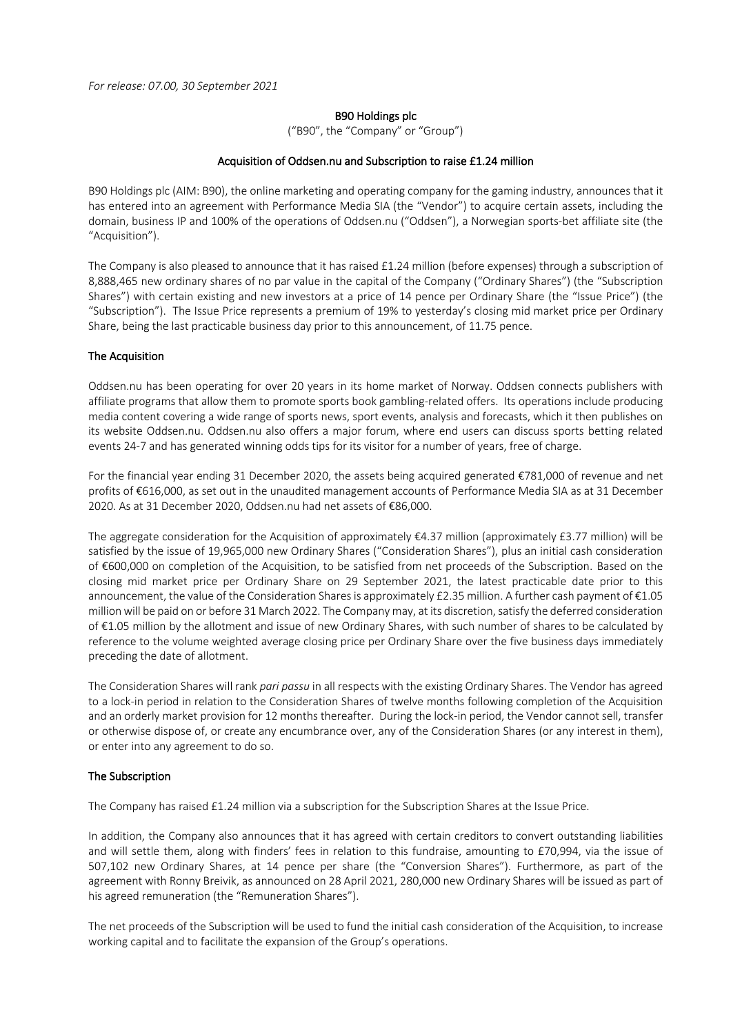*For release: 07.00, 30 September 2021*

#### B90 Holdings plc

("B90", the "Company" or "Group")

### Acquisition of Oddsen.nu and Subscription to raise £1.24 million

B90 Holdings plc (AIM: B90), the online marketing and operating company for the gaming industry, announces that it has entered into an agreement with Performance Media SIA (the "Vendor") to acquire certain assets, including the domain, business IP and 100% of the operations of Oddsen.nu ("Oddsen"), a Norwegian sports-bet affiliate site (the "Acquisition").

The Company is also pleased to announce that it has raised £1.24 million (before expenses) through a subscription of 8,888,465 new ordinary shares of no par value in the capital of the Company ("Ordinary Shares") (the "Subscription Shares") with certain existing and new investors at a price of 14 pence per Ordinary Share (the "Issue Price") (the "Subscription"). The Issue Price represents a premium of 19% to yesterday's closing mid market price per Ordinary Share, being the last practicable business day prior to this announcement, of 11.75 pence.

### The Acquisition

Oddsen.nu has been operating for over 20 years in its home market of Norway. Oddsen connects publishers with affiliate programs that allow them to promote sports book gambling-related offers. Its operations include producing media content covering a wide range of sports news, sport events, analysis and forecasts, which it then publishes on its website Oddsen.nu. Oddsen.nu also offers a major forum, where end users can discuss sports betting related events 24-7 and has generated winning odds tips for its visitor for a number of years, free of charge.

For the financial year ending 31 December 2020, the assets being acquired generated €781,000 of revenue and net profits of €616,000, as set out in the unaudited management accounts of Performance Media SIA as at 31 December 2020. As at 31 December 2020, Oddsen.nu had net assets of €86,000.

The aggregate consideration for the Acquisition of approximately  $\epsilon$ 4.37 million (approximately £3.77 million) will be satisfied by the issue of 19,965,000 new Ordinary Shares ("Consideration Shares"), plus an initial cash consideration of €600,000 on completion of the Acquisition, to be satisfied from net proceeds of the Subscription. Based on the closing mid market price per Ordinary Share on 29 September 2021, the latest practicable date prior to this announcement, the value of the Consideration Shares is approximately £2.35 million. A further cash payment of €1.05 million will be paid on or before 31 March 2022. The Company may, at its discretion, satisfy the deferred consideration of €1.05 million by the allotment and issue of new Ordinary Shares, with such number of shares to be calculated by reference to the volume weighted average closing price per Ordinary Share over the five business days immediately preceding the date of allotment.

The Consideration Shares will rank *pari passu* in all respects with the existing Ordinary Shares. The Vendor has agreed to a lock-in period in relation to the Consideration Shares of twelve months following completion of the Acquisition and an orderly market provision for 12 months thereafter. During the lock-in period, the Vendor cannot sell, transfer or otherwise dispose of, or create any encumbrance over, any of the Consideration Shares (or any interest in them), or enter into any agreement to do so.

# The Subscription

The Company has raised £1.24 million via a subscription for the Subscription Shares at the Issue Price.

In addition, the Company also announces that it has agreed with certain creditors to convert outstanding liabilities and will settle them, along with finders' fees in relation to this fundraise, amounting to £70,994, via the issue of 507,102 new Ordinary Shares, at 14 pence per share (the "Conversion Shares"). Furthermore, as part of the agreement with Ronny Breivik, as announced on 28 April 2021, 280,000 new Ordinary Shares will be issued as part of his agreed remuneration (the "Remuneration Shares").

The net proceeds of the Subscription will be used to fund the initial cash consideration of the Acquisition, to increase working capital and to facilitate the expansion of the Group's operations.